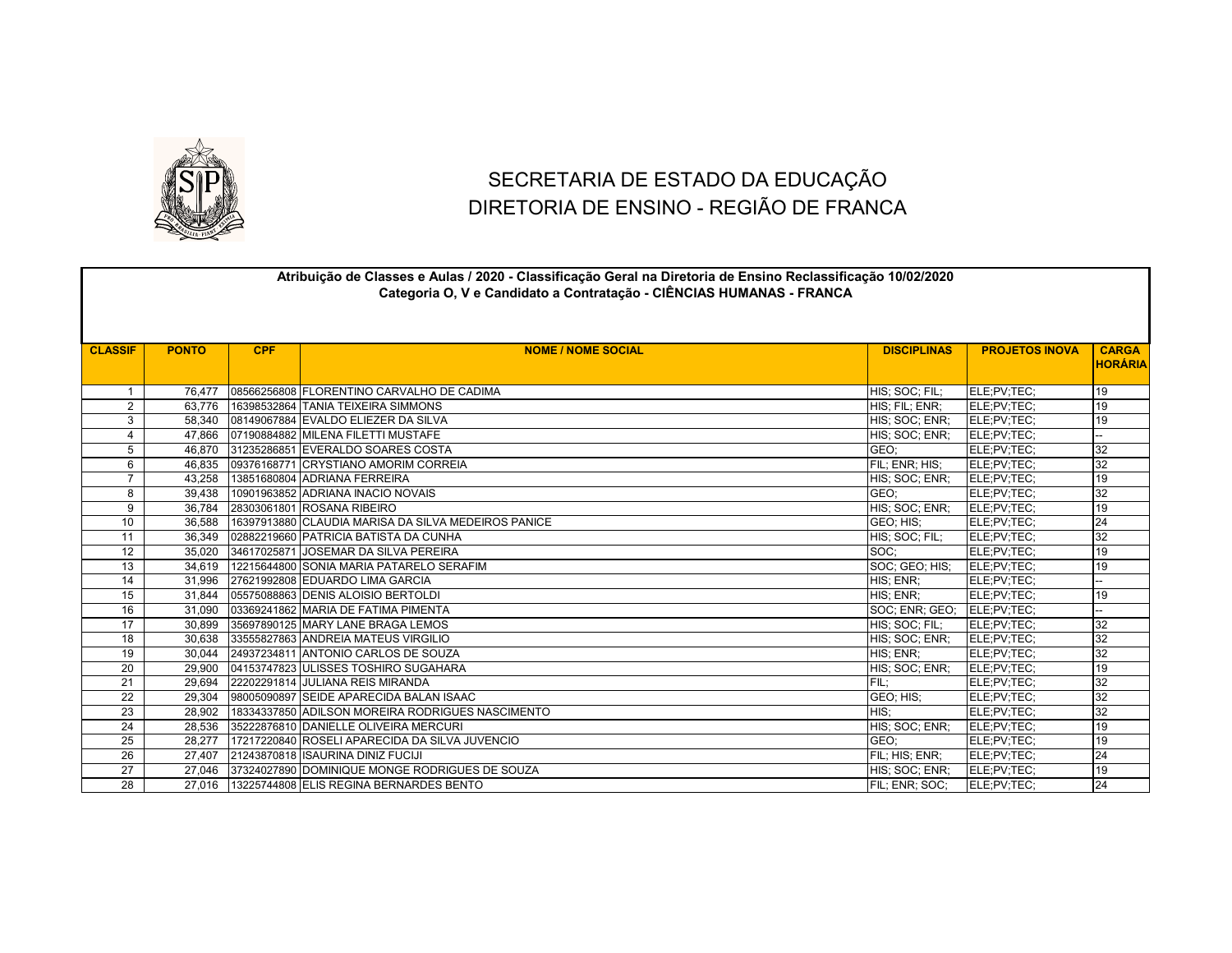

## SECRETARIA DE ESTADO DA EDUCAÇÃO DIRETORIA DE ENSINO - REGIÃO DE FRANCA

|                | Atribuição de Classes e Aulas / 2020 - Classificação Geral na Diretoria de Ensino Reclassificação 10/02/2020<br>Categoria O, V e Candidato a Contratação - CIÊNCIAS HUMANAS - FRANCA |            |                                                     |                              |                       |                                |  |  |  |
|----------------|--------------------------------------------------------------------------------------------------------------------------------------------------------------------------------------|------------|-----------------------------------------------------|------------------------------|-----------------------|--------------------------------|--|--|--|
| <b>CLASSIF</b> | <b>PONTO</b>                                                                                                                                                                         | <b>CPF</b> | <b>NOME / NOME SOCIAL</b>                           | <b>DISCIPLINAS</b>           | <b>PROJETOS INOVA</b> | <b>CARGA</b><br><b>HORÁRIA</b> |  |  |  |
|                | 76,477                                                                                                                                                                               |            | 08566256808 FLORENTINO CARVALHO DE CADIMA           | HIS; SOC; FIL;               | ELE:PV:TEC:           | 19                             |  |  |  |
| 2              | 63.776                                                                                                                                                                               |            | 16398532864 TANIA TEIXEIRA SIMMONS                  | HIS; FIL; ENR;               | ELE:PV:TEC:           | 19                             |  |  |  |
| 3              | 58,340                                                                                                                                                                               |            | 08149067884 EVALDO ELIEZER DA SILVA                 | HIS: SOC: ENR:               | ELE:PV:TEC:           | 19                             |  |  |  |
| $\overline{4}$ | 47,866                                                                                                                                                                               |            | 07190884882 MILENA FILETTI MUSTAFE                  | HIS: SOC: ENR:               | ELE:PV:TEC:           |                                |  |  |  |
| 5              | 46.870                                                                                                                                                                               |            | 31235286851 EVERALDO SOARES COSTA                   | GEO:                         | ELE;PV;TEC;           | 32                             |  |  |  |
| 6              | 46,835                                                                                                                                                                               |            | 09376168771 CRYSTIANO AMORIM CORREIA                | FIL: ENR: HIS:               | ELE:PV:TEC:           | 32                             |  |  |  |
| $\overline{7}$ | 43,258                                                                                                                                                                               |            | 13851680804 ADRIANA FERREIRA                        | HIS; SOC; ENR;               | ELE:PV:TEC:           | 19                             |  |  |  |
| 8              | 39,438                                                                                                                                                                               |            | 10901963852 ADRIANA INACIO NOVAIS                   | GEO:                         | ELE:PV:TEC:           | 32                             |  |  |  |
| 9              | 36,784                                                                                                                                                                               |            | 28303061801 ROSANA RIBEIRO                          | HIS; SOC; ENR;               | ELE;PV;TEC;           | 19                             |  |  |  |
| 10             | 36,588                                                                                                                                                                               |            | 16397913880 CLAUDIA MARISA DA SILVA MEDEIROS PANICE | GEO; HIS;                    | ELE:PV:TEC:           | 24                             |  |  |  |
| 11             | 36,349                                                                                                                                                                               |            | 02882219660 PATRICIA BATISTA DA CUNHA               | HIS: SOC: FIL:               | ELE:PV:TEC:           | 32                             |  |  |  |
| 12             | 35.020                                                                                                                                                                               |            | 34617025871 JOSEMAR DA SILVA PEREIRA                | SOC:                         | ELE:PV:TEC:           | 19                             |  |  |  |
| 13             | 34,619                                                                                                                                                                               |            | 12215644800 SONIA MARIA PATARELO SERAFIM            | SOC; GEO; HIS;               | ELE:PV:TEC:           | 19                             |  |  |  |
| 14             | 31,996                                                                                                                                                                               |            | 27621992808 EDUARDO LIMA GARCIA                     | HIS: ENR:                    | ELE:PV:TEC:           |                                |  |  |  |
| 15             | 31.844                                                                                                                                                                               |            | 05575088863 DENIS ALOISIO BERTOLDI                  | HIS; ENR;                    | ELE:PV:TEC:           | 19                             |  |  |  |
| 16             | 31,090                                                                                                                                                                               |            | 03369241862 MARIA DE FATIMA PIMENTA                 | SOC; ENR; GEO; ELE; PV; TEC; |                       |                                |  |  |  |
| 17             | 30.899                                                                                                                                                                               |            | 35697890125 MARY LANE BRAGA LEMOS                   | HIS: SOC: FIL:               | ELE:PV:TEC:           | 32                             |  |  |  |
| 18             | 30,638                                                                                                                                                                               |            | 33555827863 ANDREIA MATEUS VIRGILIO                 | HIS; SOC; ENR;               | ELE;PV;TEC:           | 32                             |  |  |  |
| 19             | 30.044                                                                                                                                                                               |            | 24937234811 ANTONIO CARLOS DE SOUZA                 | HIS: ENR:                    | ELE;PV;TEC;           | 32                             |  |  |  |
| 20             | 29.900                                                                                                                                                                               |            | 04153747823 ULISSES TOSHIRO SUGAHARA                | HIS: SOC: ENR:               | ELE:PV:TEC:           | 19                             |  |  |  |
| 21             | 29,694                                                                                                                                                                               |            | 22202291814 JULIANA REIS MIRANDA                    | FIL:                         | ELE:PV:TEC:           | 32                             |  |  |  |
| 22             | 29.304                                                                                                                                                                               |            | 98005090897 SEIDE APARECIDA BALAN ISAAC             | GEO: HIS:                    | ELE:PV:TEC:           | 32                             |  |  |  |
| 23             | 28,902                                                                                                                                                                               |            | 18334337850 ADILSON MOREIRA RODRIGUES NASCIMENTO    | HIS:                         | ELE:PV:TEC:           | 32                             |  |  |  |
| 24             | 28,536                                                                                                                                                                               |            | 35222876810 DANIELLE OLIVEIRA MERCURI               | HIS; SOC; ENR;               | ELE:PV:TEC:           | 19                             |  |  |  |
| 25             | 28,277                                                                                                                                                                               |            | 17217220840 ROSELI APARECIDA DA SILVA JUVENCIO      | GEO:                         | ELE:PV:TEC:           | 19                             |  |  |  |
| 26             | 27.407                                                                                                                                                                               |            | 21243870818 ISAURINA DINIZ FUCIJI                   | FIL; HIS; ENR;               | ELE:PV:TEC:           | 24                             |  |  |  |
| 27             | 27.046                                                                                                                                                                               |            | 37324027890 DOMINIQUE MONGE RODRIGUES DE SOUZA      | HIS; SOC; ENR:               | ELE:PV:TEC:           | 19                             |  |  |  |
| 28             |                                                                                                                                                                                      |            | 27,016 13225744808 ELIS REGINA BERNARDES BENTO      | FIL: ENR: SOC:               | ELE:PV:TEC:           | 24                             |  |  |  |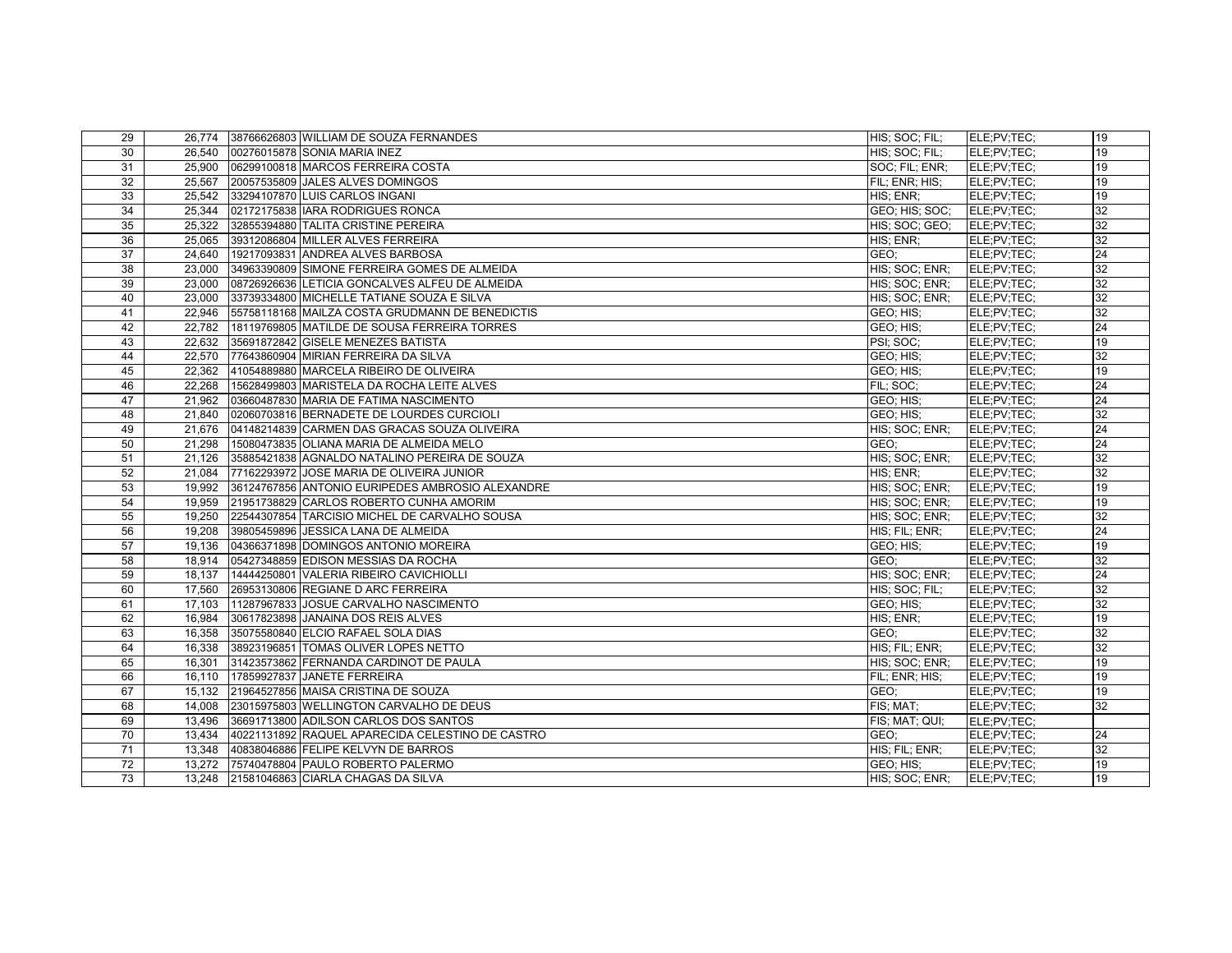| 29              |        | 26,774 38766626803 WILLIAM DE SOUZA FERNANDES           | HIS; SOC; FIL;  | ELE:PV:TEC: | 19 |
|-----------------|--------|---------------------------------------------------------|-----------------|-------------|----|
| 30              | 26.540 | 00276015878 SONIA MARIA INEZ                            | HIS: SOC: FIL:  | ELE;PV;TEC; | 19 |
| 31              |        | 25,900 06299100818 MARCOS FERREIRA COSTA                | SOC; FIL; ENR;  | ELE;PV;TEC; | 19 |
| 32              | 25.567 | 20057535809 JALES ALVES DOMINGOS                        | FIL: ENR; HIS;  | ELE;PV;TEC; | 19 |
| 33              |        | 25,542 33294107870 LUIS CARLOS INGANI                   | HIS; ENR;       | ELE;PV;TEC; | 19 |
| 34              |        | 25,344 02172175838 IARA RODRIGUES RONCA                 | GEO; HIS; SOC;  | ELE:PV:TEC: | 32 |
| 35              | 25,322 | 32855394880 TALITA CRISTINE PEREIRA                     | HIS; SOC; GEO;  | ELE:PV:TEC: | 32 |
| 36              | 25,065 | 39312086804 MILLER ALVES FERREIRA                       | HIS; ENR;       | ELE;PV;TEC; | 32 |
| 37              | 24.640 | 19217093831 ANDREA ALVES BARBOSA                        | GEO:            | ELE;PV;TEC; | 24 |
| 38              |        | 23.000 34963390809 SIMONE FERREIRA GOMES DE ALMEIDA     | HIS; SOC; ENR;  | ELE:PV:TEC: | 32 |
| 39              | 23.000 | 08726926636 LETICIA GONCALVES ALFEU DE ALMEIDA          | HIS: SOC: ENR:  | ELE:PV:TEC: | 32 |
| 40              | 23,000 | 33739334800 MICHELLE TATIANE SOUZA E SILVA              | HIS; SOC; ENR;  | ELE:PV:TEC: | 32 |
| 41              | 22,946 | 55758118168 MAILZA COSTA GRUDMANN DE BENEDICTIS         | GEO; HIS;       | ELE;PV;TEC; | 32 |
| 42              | 22.782 | 18119769805 MATILDE DE SOUSA FERREIRA TORRES            | GEO; HIS;       | ELE:PV:TEC: | 24 |
| 43              |        | 22,632 35691872842 GISELE MENEZES BATISTA               | PSI; SOC:       | ELE;PV;TEC; | 19 |
| 44              |        | 22,570 77643860904 MIRIAN FERREIRA DA SILVA             | GEO; HIS;       | ELE;PV;TEC; | 32 |
| 45              | 22.362 | 41054889880 MARCELA RIBEIRO DE OLIVEIRA                 | GEO; HIS;       | ELE;PV;TEC; | 19 |
| 46              | 22,268 | 15628499803 MARISTELA DA ROCHA LEITE ALVES              | FIL; SOC;       | ELE;PV;TEC; | 24 |
| 47              |        | 21,962 03660487830 MARIA DE FATIMA NASCIMENTO           | GEO: HIS:       | ELE;PV;TEC; | 24 |
| 48              | 21.840 | 02060703816 BERNADETE DE LOURDES CURCIOLI               | GEO: HIS:       | ELE;PV;TEC; | 32 |
| 49              | 21,676 | 04148214839 CARMEN DAS GRACAS SOUZA OLIVEIRA            | HIS; SOC; ENR;  | ELE;PV;TEC; | 24 |
| 50              | 21,298 | 15080473835 OLIANA MARIA DE ALMEIDA MELO                | GEO:            | ELE;PV;TEC; | 24 |
| 51              | 21.126 | 35885421838 AGNALDO NATALINO PEREIRA DE SOUZA           | HIS; SOC; ENR;  | ELE:PV:TEC: | 32 |
| 52              |        | 21,084 77162293972 JOSE MARIA DE OLIVEIRA JUNIOR        | HIS; ENR;       | ELE;PV;TEC; | 32 |
| 53              |        | 19,992 36124767856 ANTONIO EURIPEDES AMBROSIO ALEXANDRE | HIS; SOC; ENR;  | ELE:PV:TEC: | 19 |
| 54              | 19.959 | 21951738829 CARLOS ROBERTO CUNHA AMORIM                 | HIS; SOC; ENR;  | ELE:PV:TEC: | 19 |
| 55              | 19,250 | 22544307854 TARCISIO MICHEL DE CARVALHO SOUSA           | HIS; SOC; ENR;  | ELE;PV;TEC; | 32 |
| 56              | 19.208 | 39805459896 JESSICA LANA DE ALMEIDA                     | HIS; FIL; ENR;  | ELE:PV:TEC: | 24 |
| 57              | 19,136 | 04366371898 DOMINGOS ANTONIO MOREIRA                    | GEO; HIS;       | ELE;PV;TEC; | 19 |
| 58              |        | 18,914 05427348859 EDISON MESSIAS DA ROCHA              | GEO:            | ELE;PV;TEC; | 32 |
| 59              | 18.137 | 14444250801 VALERIA RIBEIRO CAVICHIOLLI                 | HIS; SOC; ENR;  | ELE:PV:TEC: | 24 |
| 60              | 17,560 | 26953130806 REGIANE D ARC FERREIRA                      | HIS: SOC: FIL:  | ELE:PV:TEC: | 32 |
| 61              |        | 17,103 11287967833 JOSUE CARVALHO NASCIMENTO            | GEO; HIS;       | ELE;PV;TEC; | 32 |
| 62              |        | 16.984 30617823898 JANAINA DOS REIS ALVES               | $HIS$ ; $ENR$ ; | ELE:PV:TEC: | 19 |
| 63              | 16,358 | 35075580840 ELCIO RAFAEL SOLA DIAS                      | GEO:            | ELE;PV;TEC; | 32 |
| 64              | 16,338 | 38923196851 TOMAS OLIVER LOPES NETTO                    | HIS; FIL; ENR;  | ELE;PV;TEC; | 32 |
| 65              |        | 16.301 31423573862 FERNANDA CARDINOT DE PAULA           | HIS: SOC: ENR:  | ELE:PV:TEC: | 19 |
| 66              | 16,110 | 17859927837 JANETE FERREIRA                             | FIL: ENR: HIS:  | ELE;PV;TEC; | 19 |
| 67              |        | 15,132 21964527856 MAISA CRISTINA DE SOUZA              | GEO:            | ELE;PV;TEC; | 19 |
| 68              |        | 14,008 23015975803 WELLINGTON CARVALHO DE DEUS          | FIS; MAT;       | ELE;PV;TEC; | 32 |
| 69              | 13,496 | 36691713800 ADILSON CARLOS DOS SANTOS                   | FIS; MAT; QUI;  | ELE:PV:TEC: |    |
| 70              |        | 13,434 40221131892 RAQUEL APARECIDA CELESTINO DE CASTRO | GEO:            | ELE;PV;TEC; | 24 |
| 71              |        | 13,348 40838046886 FELIPE KELVYN DE BARROS              | HIS; FIL; ENR;  | ELE:PV:TEC: | 32 |
| 72              | 13,272 | 75740478804 PAULO ROBERTO PALERMO                       | GEO; HIS;       | ELE:PV:TEC: | 19 |
| $\overline{73}$ | 13.248 | 21581046863 CIARLA CHAGAS DA SILVA                      | HIS: SOC: ENR:  | ELE;PV;TEC; | 19 |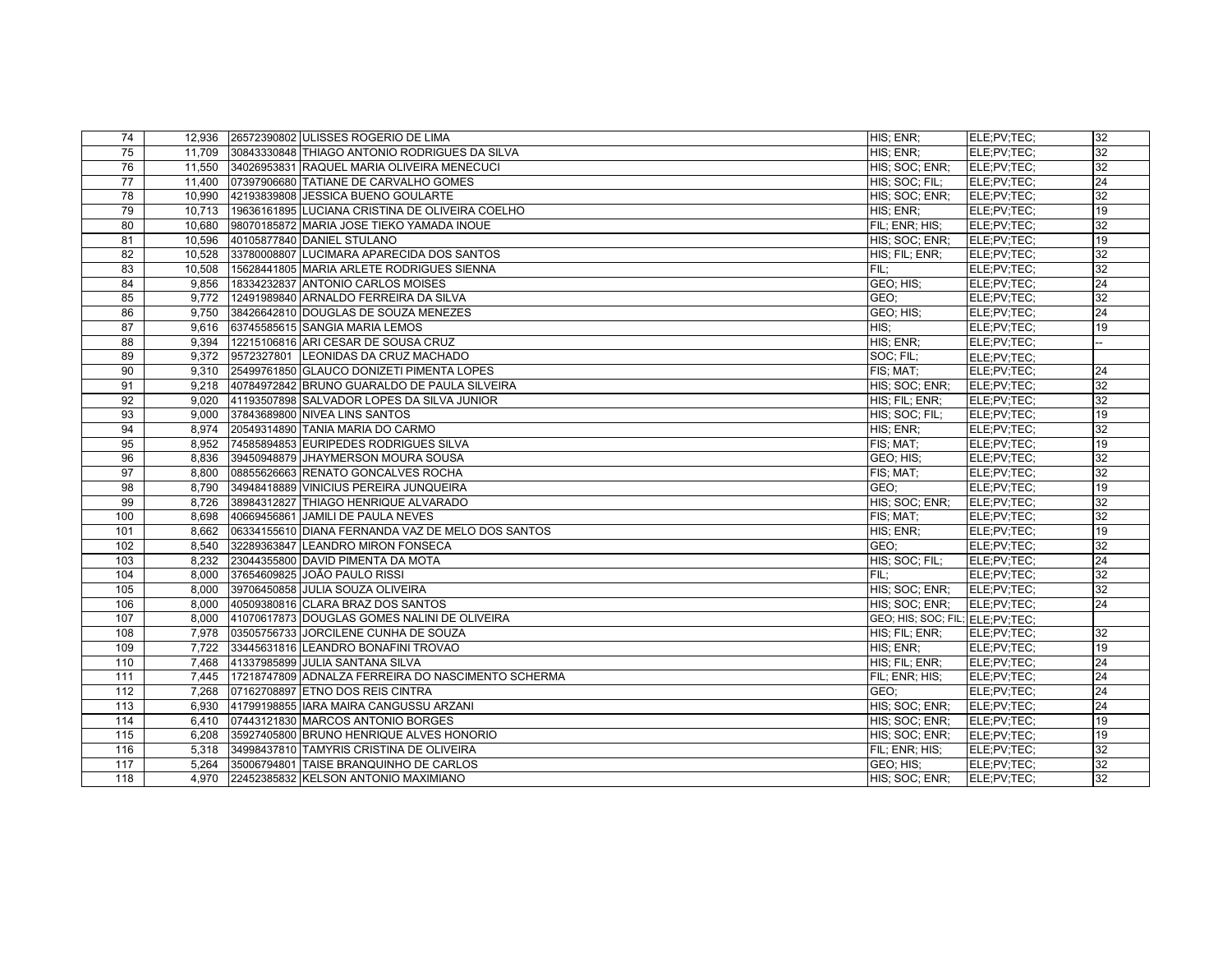| 74  |        | 12,936 26572390802 ULISSES ROGERIO DE LIMA         | HIS; ENR;                         | ELE;PV;TEC; | 32 |
|-----|--------|----------------------------------------------------|-----------------------------------|-------------|----|
| 75  | 11.709 | 30843330848 THIAGO ANTONIO RODRIGUES DA SILVA      | HIS: ENR:                         | ELE;PV;TEC; | 32 |
| 76  |        | 11,550 34026953831 RAQUEL MARIA OLIVEIRA MENECUCI  | HIS; SOC; ENR;                    | ELE;PV;TEC; | 32 |
| 77  | 11,400 | 07397906680 TATIANE DE CARVALHO GOMES              | HIS; SOC; FIL;                    | ELE;PV;TEC; | 24 |
| 78  | 10.990 | 42193839808 JESSICA BUENO GOULARTE                 | HIS: SOC: ENR:                    | ELE:PV:TEC: | 32 |
| 79  | 10,713 | 19636161895 LUCIANA CRISTINA DE OLIVEIRA COELHO    | HIS; ENR;                         | ELE;PV;TEC; | 19 |
| 80  | 10.680 | 98070185872 MARIA JOSE TIEKO YAMADA INOUE          | FIL; ENR; HIS;                    | ELE:PV:TEC: | 32 |
| 81  | 10,596 | 40105877840 DANIEL STULANO                         | HIS: SOC: ENR:                    | ELE:PV:TEC: | 19 |
| 82  | 10,528 | 33780008807 LUCIMARA APARECIDA DOS SANTOS          | HIS; FIL; ENR;                    | ELE;PV;TEC; | 32 |
| 83  | 10.508 | 15628441805 MARIA ARLETE RODRIGUES SIENNA          | FIL:                              | ELE:PV:TEC: | 32 |
| 84  | 9,856  | 18334232837 ANTONIO CARLOS MOISES                  | GEO; HIS;                         | ELE;PV;TEC; | 24 |
| 85  | 9,772  | 12491989840 ARNALDO FERREIRA DA SILVA              | GEO:                              | ELE;PV;TEC; | 32 |
| 86  | 9.750  | 38426642810 DOUGLAS DE SOUZA MENEZES               | GEO; HIS;                         | ELE:PV:TEC: | 24 |
| 87  | 9,616  | 63745585615 SANGIA MARIA LEMOS                     | HIS                               | ELE;PV;TEC; | 19 |
| 88  | 9,394  | 12215106816 ARI CESAR DE SOUSA CRUZ                | HIS; ENR;                         | ELE;PV;TEC; |    |
| 89  |        | 9.372 9572327801 LEONIDAS DA CRUZ MACHADO          | SOC: FIL:                         | ELE:PV:TEC: |    |
| 90  | 9,310  | 25499761850 GLAUCO DONIZETI PIMENTA LOPES          | FIS; MAT;                         | ELE;PV;TEC; | 24 |
| 91  |        | 9,218 40784972842 BRUNO GUARALDO DE PAULA SILVEIRA | HIS; SOC; ENR;                    | ELE;PV;TEC; | 32 |
| 92  | 9.020  | 41193507898 SALVADOR LOPES DA SILVA JUNIOR         | HIS: FIL: ENR:                    | ELE;PV;TEC; | 32 |
| 93  | 9,000  | 37843689800 NIVEA LINS SANTOS                      | HIS; SOC; FIL;                    | ELE;PV;TEC; | 19 |
| 94  | 8.974  | 20549314890 TANIA MARIA DO CARMO                   | HIS; ENR;                         | ELE;PV;TEC; | 32 |
| 95  |        | 8,952 74585894853 EURIPEDES RODRIGUES SILVA        | FIS; MAT;                         | ELE;PV;TEC; | 19 |
| 96  | 8,836  | 39450948879 JHAYMERSON MOURA SOUSA                 | GEO; HIS;                         | ELE;PV;TEC; | 32 |
| 97  | 8.800  | 08855626663 RENATO GONCALVES ROCHA                 | FIS; MAT;                         | ELE;PV;TEC; | 32 |
| 98  | 8,790  | 34948418889 VINICIUS PEREIRA JUNQUEIRA             | GEO:                              | ELE;PV;TEC; | 19 |
| 99  | 8,726  | 38984312827 THIAGO HENRIQUE ALVARADO               | HIS; SOC; ENR;                    | ELE;PV;TEC; | 32 |
| 100 | 8.698  | 40669456861 JAMILI DE PAULA NEVES                  | FIS; MAT;                         | ELE;PV;TEC; | 32 |
| 101 | 8,662  | 06334155610 DIANA FERNANDA VAZ DE MELO DOS SANTOS  | HIS; ENR;                         | ELE;PV;TEC; | 19 |
| 102 | 8.540  | 32289363847 LEANDRO MIRON FONSECA                  | GEO:                              | ELE;PV;TEC; | 32 |
| 103 | 8.232  | 23044355800 DAVID PIMENTA DA MOTA                  | HIS: SOC: FIL:                    | ELE:PV:TEC: | 24 |
| 104 | 8,000  | 37654609825 JOÃO PAULO RISSI                       | FIL:                              | ELE;PV;TEC; | 32 |
| 105 | 8.000  | 39706450858 JULIA SOUZA OLIVEIRA                   | HIS; SOC; ENR;                    | ELE:PV:TEC: | 32 |
| 106 | 8,000  | 40509380816 CLARA BRAZ DOS SANTOS                  | HIS; SOC; ENR;                    | ELE:PV:TEC: | 24 |
| 107 | 8.000  | 41070617873 DOUGLAS GOMES NALINI DE OLIVEIRA       | GEO; HIS; SOC; FIL; ELE; PV; TEC; |             |    |
| 108 | 7.978  | 03505756733 JORCILENE CUNHA DE SOUZA               | HIS; FIL; ENR;                    | ELE;PV;TEC; | 32 |
| 109 | 7,722  | 33445631816 LEANDRO BONAFINI TROVAO                | HIS; ENR;                         | ELE;PV;TEC; | 19 |
| 110 | 7.468  | 41337985899 JULIA SANTANA SILVA                    | HIS; FIL; ENR;                    | ELE;PV;TEC; | 24 |
| 111 | 7,445  | 17218747809 ADNALZA FERREIRA DO NASCIMENTO SCHERMA | FIL; ENR; HIS;                    | ELE;PV;TEC; | 24 |
| 112 | 7,268  | 07162708897 ETNO DOS REIS CINTRA                   | GEO:                              | ELE;PV;TEC; | 24 |
| 113 | 6.930  | 41799198855 IARA MAIRA CANGUSSU ARZANI             | HIS; SOC; ENR;                    | ELE:PV:TEC: | 24 |
| 114 | 6,410  | 07443121830 MARCOS ANTONIO BORGES                  | HIS; SOC; ENR;                    | ELE:PV:TEC: | 19 |
| 115 | 6,208  | 35927405800 BRUNO HENRIQUE ALVES HONORIO           | HIS; SOC; ENR;                    | ELE;PV;TEC; | 19 |
| 116 |        | 5,318 34998437810 TAMYRIS CRISTINA DE OLIVEIRA     | FIL; ENR; HIS;                    | ELE;PV;TEC; | 32 |
| 117 | 5.264  | 35006794801 TAISE BRANQUINHO DE CARLOS             | GEO: HIS:                         | ELE;PV;TEC; | 32 |
| 118 | 4.970  | 22452385832 KELSON ANTONIO MAXIMIANO               | HIS: SOC: ENR:                    | ELE:PV:TEC: | 32 |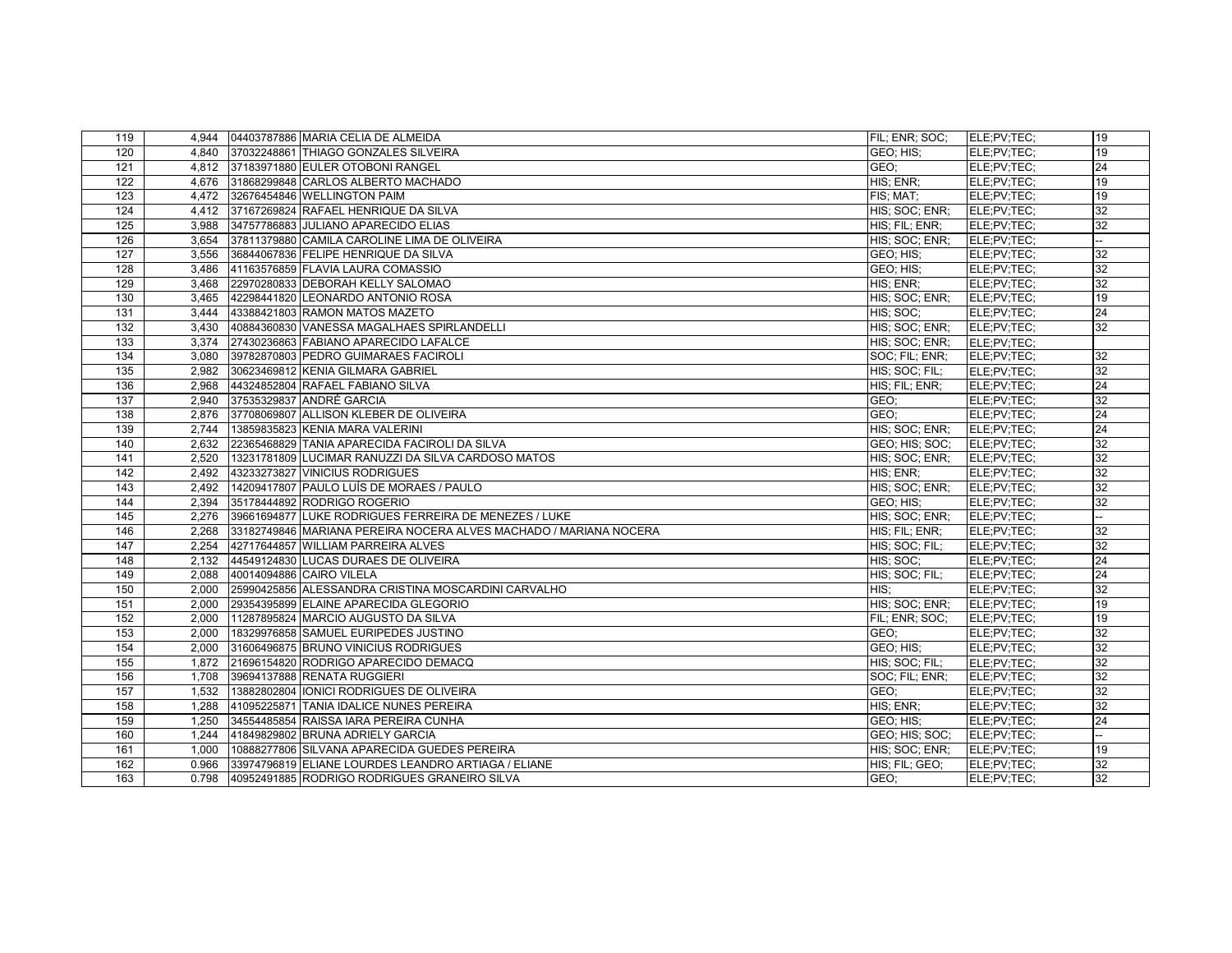| 119 |       | 4,944 04403787886 MARIA CELIA DE ALMEIDA                                | FIL; ENR; SOC; | ELE;PV;TEC; | 19 |
|-----|-------|-------------------------------------------------------------------------|----------------|-------------|----|
| 120 |       | 4.840 37032248861 THIAGO GONZALES SILVEIRA                              | GEO: HIS:      | ELE:PV:TEC: | 19 |
| 121 |       | 4,812 37183971880 EULER OTOBONI RANGEL                                  | GEO:           | ELE;PV;TEC; | 24 |
| 122 |       | 4,676 31868299848 CARLOS ALBERTO MACHADO                                | HIS; ENR;      | ELE;PV;TEC; | 19 |
| 123 |       | 4.472 32676454846 WELLINGTON PAIM                                       | FIS: MAT:      | ELE;PV;TEC; | 19 |
| 124 |       | 4,412 37167269824 RAFAEL HENRIQUE DA SILVA                              | HIS; SOC; ENR; | ELE;PV;TEC; | 32 |
| 125 | 3.988 | 34757786883 JULIANO APARECIDO ELIAS                                     | HIS; FIL; ENR; | ELE;PV;TEC; | 32 |
| 126 |       | 3,654 37811379880 CAMILA CAROLINE LIMA DE OLIVEIRA                      | HIS; SOC; ENR; | ELE:PV:TEC: |    |
| 127 | 3,556 | 36844067836 FELIPE HENRIQUE DA SILVA                                    | GEO; HIS;      | ELE;PV;TEC; | 32 |
| 128 | 3.486 | 41163576859 FLAVIA LAURA COMASSIO                                       | GEO; HIS;      | ELE;PV;TEC; | 32 |
| 129 | 3.468 | 22970280833 DEBORAH KELLY SALOMAO                                       | HIS; ENR;      | ELE;PV;TEC; | 32 |
| 130 |       | 3,465 42298441820 LEONARDO ANTONIO ROSA                                 | HIS; SOC; ENR; | ELE;PV;TEC; | 19 |
| 131 | 3.444 | 43388421803 RAMON MATOS MAZETO                                          | HIS; SOC;      | ELE;PV;TEC; | 24 |
| 132 | 3.430 | 40884360830 VANESSA MAGALHAES SPIRLANDELLI                              | HIS: SOC: ENR: | ELE:PV:TEC: | 32 |
| 133 |       | 3,374 27430236863 FABIANO APARECIDO LAFALCE                             | HIS; SOC; ENR; | ELE;PV;TEC; |    |
| 134 | 3,080 | 39782870803 PEDRO GUIMARAES FACIROLI                                    | SOC; FIL; ENR; | ELE;PV;TEC; | 32 |
| 135 |       | 2,982 30623469812 KENIA GILMARA GABRIEL                                 | HIS: SOC: FIL: | ELE;PV;TEC; | 32 |
| 136 | 2,968 | 44324852804 RAFAEL FABIANO SILVA                                        | HIS; FIL; ENR; | ELE;PV;TEC; | 24 |
| 137 | 2,940 | 37535329837 ANDRÉ GARCIA                                                | GEO:           | ELE;PV;TEC; | 32 |
| 138 | 2,876 | 37708069807 ALLISON KLEBER DE OLIVEIRA                                  | GEO:           | ELE;PV;TEC; | 24 |
| 139 | 2,744 | 13859835823 KENIA MARA VALERINI                                         | HIS; SOC; ENR; | ELE;PV;TEC; | 24 |
| 140 | 2,632 | 22365468829 TANIA APARECIDA FACIROLI DA SILVA                           | GEO; HIS; SOC; | ELE;PV;TEC; | 32 |
| 141 | 2.520 | 13231781809 LUCIMAR RANUZZI DA SILVA CARDOSO MATOS                      | HIS: SOC: ENR: | ELE:PV:TEC: | 32 |
| 142 | 2,492 | 43233273827 VINICIUS RODRIGUES                                          | HIS; ENR;      | ELE;PV;TEC; | 32 |
| 143 |       | 2,492 14209417807 PAULO LUÍS DE MORAES / PAULO                          | HIS; SOC; ENR; | ELE;PV;TEC; | 32 |
| 144 |       | 2.394 35178444892 RODRIGO ROGERIO                                       | GEO: HIS:      | ELE;PV;TEC; | 32 |
| 145 | 2,276 | 39661694877 LUKE RODRIGUES FERREIRA DE MENEZES / LUKE                   | HIS; SOC; ENR; | ELE;PV;TEC; |    |
| 146 |       | 2,268 33182749846 MARIANA PEREIRA NOCERA ALVES MACHADO / MARIANA NOCERA | HIS; FIL; ENR; | ELE;PV;TEC; | 32 |
| 147 | 2.254 | 42717644857 WILLIAM PARREIRA ALVES                                      | HIS: SOC: FIL: | ELE;PV;TEC; | 32 |
| 148 | 2,132 | 44549124830 LUCAS DURAES DE OLIVEIRA                                    | HIS: SOC:      | ELE;PV;TEC; | 24 |
| 149 | 2,088 | 40014094886 CAIRO VILELA                                                | HIS; SOC; FIL; | ELE:PV:TEC: | 24 |
| 150 | 2,000 | 25990425856 ALESSANDRA CRISTINA MOSCARDINI CARVALHO                     | HIS:           | ELE;PV;TEC; | 32 |
| 151 | 2,000 | 29354395899 ELAINE APARECIDA GLEGORIO                                   | HIS; SOC; ENR; | ELE;PV;TEC; | 19 |
| 152 | 2.000 | 11287895824 MARCIO AUGUSTO DA SILVA                                     | FIL: ENR: SOC: | ELE;PV;TEC; | 19 |
| 153 | 2.000 | 18329976858 SAMUEL EURIPEDES JUSTINO                                    | GEO:           | ELE;PV;TEC; | 32 |
| 154 | 2,000 | 31606496875 BRUNO VINICIUS RODRIGUES                                    | GEO; HIS;      | ELE;PV;TEC; | 32 |
| 155 | 1.872 | 21696154820 RODRIGO APARECIDO DEMACQ                                    | HIS: SOC: FIL: | ELE:PV:TEC: | 32 |
| 156 | 1,708 | 39694137888 RENATA RUGGIERI                                             | SOC; FIL; ENR; | ELE;PV;TEC; | 32 |
| 157 | 1,532 | 13882802804 IONICI RODRIGUES DE OLIVEIRA                                | GEO:           | ELE;PV;TEC; | 32 |
| 158 | 1.288 | 41095225871 TANIA IDALICE NUNES PEREIRA                                 | HIS; ENR;      | ELE;PV;TEC; | 32 |
| 159 | 1.250 | 34554485854 RAISSA IARA PEREIRA CUNHA                                   | GEO; HIS;      | ELE;PV;TEC; | 24 |
| 160 | 1,244 | 41849829802 BRUNA ADRIELY GARCIA                                        | GEO; HIS; SOC; | ELE;PV;TEC; |    |
| 161 | 1.000 | 10888277806 SILVANA APARECIDA GUEDES PEREIRA                            | HIS; SOC; ENR; | ELE:PV:TEC: | 19 |
| 162 | 0.966 | 33974796819 ELIANE LOURDES LEANDRO ARTIAGA / ELIANE                     | HIS: FIL: GEO: | ELE;PV;TEC; | 32 |
| 163 | 0.798 | 40952491885 RODRIGO RODRIGUES GRANEIRO SILVA                            | GEO:           | ELE:PV:TEC: | 32 |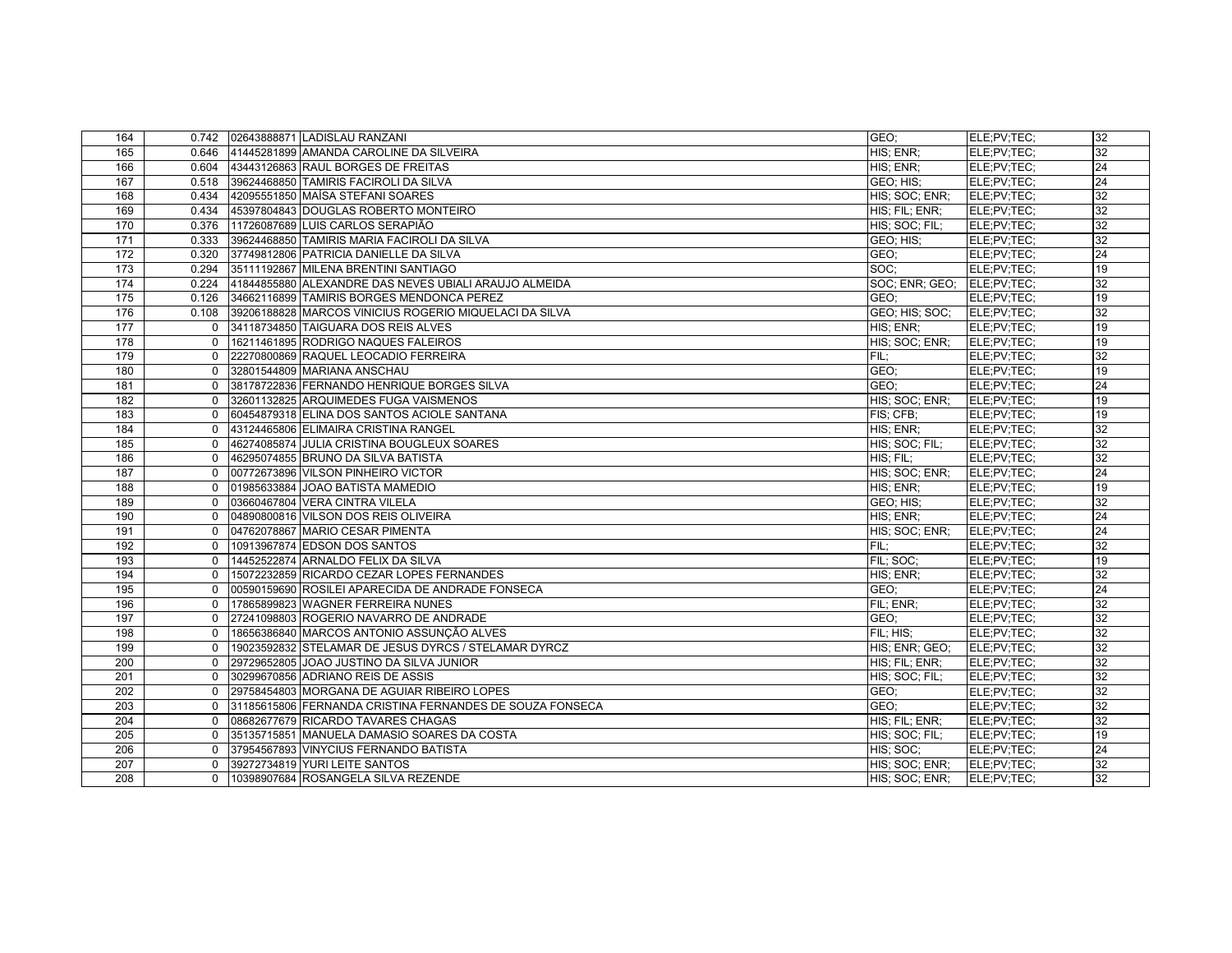| 164              |              | 0.742 02643888871 LADISLAU RANZANI                         | GEO:                         | ELE;PV;TEC; | 32 |
|------------------|--------------|------------------------------------------------------------|------------------------------|-------------|----|
| 165              |              | 0.646 41445281899 AMANDA CAROLINE DA SILVEIRA              | HIS: ENR:                    | ELE;PV;TEC; | 32 |
| 166              |              | 0.604 43443126863 RAUL BORGES DE FREITAS                   | HIS; ENR;                    | ELE;PV;TEC; | 24 |
| 167              | 0.518        | 39624468850 TAMIRIS FACIROLI DA SILVA                      | GEO; HIS;                    | ELE:PV:TEC: | 24 |
| 168              |              | 0.434 42095551850 MAÍSA STEFANI SOARES                     | HIS: SOC: ENR:               | ELE:PV:TEC: | 32 |
| 169              |              | 0.434 45397804843 DOUGLAS ROBERTO MONTEIRO                 | HIS; FIL; ENR;               | ELE;PV;TEC; | 32 |
| 170              | 0.376        | 11726087689 LUIS CARLOS SERAPIÃO                           | HIS; SOC; FIL;               | ELE:PV:TEC: | 32 |
| 171              |              | 0.333 39624468850 TAMIRIS MARIA FACIROLI DA SILVA          | GEO; HIS;                    | ELE;PV;TEC; | 32 |
| 172              | 0.320        | 37749812806 PATRICIA DANIELLE DA SILVA                     | GEO:                         | ELE;PV;TEC; | 24 |
| $\overline{173}$ | 0.294        | 35111192867 MILENA BRENTINI SANTIAGO                       | SOC:                         | ELE;PV;TEC; | 19 |
| 174              | 0.224        | 41844855880 ALEXANDRE DAS NEVES UBIALI ARAUJO ALMEIDA      | SOC; ENR; GEO; ELE; PV; TEC; |             | 32 |
| 175              | 0.126        | 34662116899 TAMIRIS BORGES MENDONCA PEREZ                  | GEO:                         | ELE;PV;TEC; | 19 |
| 176              | 0.108        | 39206188828 MARCOS VINICIUS ROGERIO MIQUELACI DA SILVA     | GEO; HIS; SOC;               | ELE;PV;TEC; | 32 |
| 177              | $\Omega$     | 34118734850 TAIGUARA DOS REIS ALVES                        | HIS; ENR;                    | ELE;PV;TEC; | 19 |
| 178              | $\Omega$     | 16211461895 RODRIGO NAQUES FALEIROS                        | HIS; SOC; ENR;               | ELE:PV:TEC: | 19 |
| 179              | $\Omega$     | 22270800869 RAQUEL LEOCADIO FERREIRA                       | FIL;                         | ELE;PV;TEC; | 32 |
| 180              | $\Omega$     | 32801544809 MARIANA ANSCHAU                                | GEO:                         | ELE;PV;TEC; | 19 |
| 181              | $\mathbf{0}$ | 38178722836 FERNANDO HENRIQUE BORGES SILVA                 | GEO:                         | ELE;PV;TEC; | 24 |
| 182              | $\Omega$     | 32601132825 ARQUIMEDES FUGA VAISMENOS                      | HIS; SOC; ENR;               | ELE:PV:TEC: | 19 |
| 183              | $\Omega$     | 60454879318 ELINA DOS SANTOS ACIOLE SANTANA                | FIS: CFB:                    | ELE;PV;TEC; | 19 |
| 184              | $\mathbf{0}$ | 43124465806 ELIMAIRA CRISTINA RANGEL                       | HIS; ENR;                    | ELE;PV;TEC; | 32 |
| 185              | $\Omega$     | 46274085874 JULIA CRISTINA BOUGLEUX SOARES                 | HIS; SOC; FIL;               | ELE:PV:TEC: | 32 |
| 186              | $\Omega$     | 46295074855 BRUNO DA SILVA BATISTA                         | HIS: FIL:                    | ELE;PV;TEC; | 32 |
| 187              | $\mathbf{0}$ | 00772673896 VILSON PINHEIRO VICTOR                         | HIS; SOC; ENR;               | ELE;PV;TEC; | 24 |
| 188              | $\Omega$     | 01985633884 JOAO BATISTA MAMEDIO                           | HIS; ENR;                    | ELE;PV;TEC; | 19 |
| 189              | $\Omega$     | 03660467804 VERA CINTRA VILELA                             | GEO; HIS;                    | ELE;PV;TEC; | 32 |
| 190              | 0            | 04890800816 VILSON DOS REIS OLIVEIRA                       | HIS; ENR;                    | ELE;PV;TEC; | 24 |
| 191              | $\Omega$     | 04762078867 MARIO CESAR PIMENTA                            | HIS: SOC: ENR:               | ELE:PV:TEC: | 24 |
| 192              | $\Omega$     | 10913967874 EDSON DOS SANTOS                               | FIL:                         | ELE;PV;TEC; | 32 |
| 193              | $\mathbf{0}$ | 14452522874 ARNALDO FELIX DA SILVA                         | FIL: SOC:                    | ELE;PV;TEC; | 19 |
| 194              | $\Omega$     | 15072232859 RICARDO CEZAR LOPES FERNANDES                  | HIS: ENR:                    | ELE:PV:TEC: | 32 |
| 195              | $\Omega$     | 00590159690 ROSILEI APARECIDA DE ANDRADE FONSECA           | GEO:                         | ELE;PV;TEC; | 24 |
| 196              | $\Omega$     | 17865899823 WAGNER FERREIRA NUNES                          | FIL: ENR:                    | ELE;PV;TEC; | 32 |
| 197              | $\Omega$     | 27241098803 ROGERIO NAVARRO DE ANDRADE                     | GEO:                         | ELE;PV;TEC; | 32 |
| 198              | $\Omega$     | 18656386840 MARCOS ANTONIO ASSUNÇÃO ALVES                  | $FIL$ ; $HIS$ ;              | ELE;PV;TEC; | 32 |
| 199              | $\Omega$     | 19023592832 STELAMAR DE JESUS DYRCS / STELAMAR DYRCZ       | HIS; ENR; GEO;               | ELE:PV:TEC: | 32 |
| 200              | $\Omega$     | 29729652805 JOAO JUSTINO DA SILVA JUNIOR                   | HIS; FIL; ENR;               | ELE;PV;TEC; | 32 |
| 201              | $\Omega$     | 30299670856 ADRIANO REIS DE ASSIS                          | HIS; SOC; FIL;               | ELE:PV:TEC: | 32 |
| 202              | $\mathbf{0}$ | 29758454803 MORGANA DE AGUIAR RIBEIRO LOPES                | GEO:                         | ELE;PV;TEC; | 32 |
| 203              |              | 0 31185615806 FERNANDA CRISTINA FERNANDES DE SOUZA FONSECA | GEO:                         | ELE;PV;TEC; | 32 |
| 204              | $\Omega$     | 08682677679 RICARDO TAVARES CHAGAS                         | HIS; FIL; ENR;               | ELE;PV;TEC; | 32 |
| 205              | $\mathbf{0}$ | 35135715851 MANUELA DAMASIO SOARES DA COSTA                | HIS; SOC; FIL;               | ELE;PV;TEC; | 19 |
| 206              | $\Omega$     | 37954567893 VINYCIUS FERNANDO BATISTA                      | HIS: SOC:                    | ELE;PV;TEC; | 24 |
| 207              | $\Omega$     | 39272734819 YURI LEITE SANTOS                              | HIS: SOC: ENR:               | ELE:PV:TEC: | 32 |
| 208              | $\Omega$     | 10398907684 ROSANGELA SILVA REZENDE                        | HIS: SOC: ENR:               | ELE:PV:TEC: | 32 |
|                  |              |                                                            |                              |             |    |